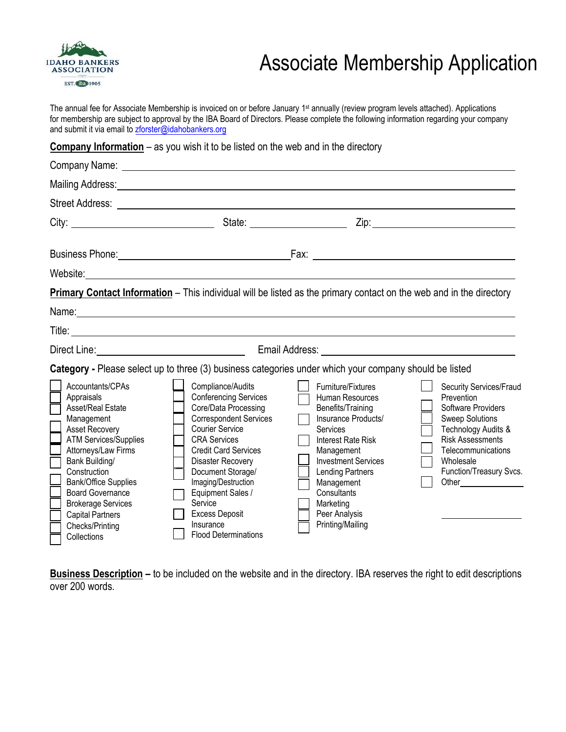

## Associate Membership Application

The annual fee for Associate Membership is invoiced on or before January 1<sup>st</sup> annually (review program levels attached). Applications for membership are subject to approval by the IBA Board of Directors. Please complete the following information regarding your company and submit it via email to zforster[@idahobankers.org](mailto:twright@idahobankers.org)

**Company Information** – as you wish it to be listed on the web and in the directory

|                                                                                                                                                                                                                                                                                                                                         | Mailing Address: Mail and Mailing Address: Mail and Mail and Mail and Mail and Mail and Mail and Mail and Mail                                                                                                                                                                                                                                                   |                                                                                                                                                                                                                                                                           |                                                                                                                                                                                                       |
|-----------------------------------------------------------------------------------------------------------------------------------------------------------------------------------------------------------------------------------------------------------------------------------------------------------------------------------------|------------------------------------------------------------------------------------------------------------------------------------------------------------------------------------------------------------------------------------------------------------------------------------------------------------------------------------------------------------------|---------------------------------------------------------------------------------------------------------------------------------------------------------------------------------------------------------------------------------------------------------------------------|-------------------------------------------------------------------------------------------------------------------------------------------------------------------------------------------------------|
|                                                                                                                                                                                                                                                                                                                                         |                                                                                                                                                                                                                                                                                                                                                                  |                                                                                                                                                                                                                                                                           |                                                                                                                                                                                                       |
|                                                                                                                                                                                                                                                                                                                                         |                                                                                                                                                                                                                                                                                                                                                                  |                                                                                                                                                                                                                                                                           |                                                                                                                                                                                                       |
|                                                                                                                                                                                                                                                                                                                                         |                                                                                                                                                                                                                                                                                                                                                                  |                                                                                                                                                                                                                                                                           |                                                                                                                                                                                                       |
|                                                                                                                                                                                                                                                                                                                                         |                                                                                                                                                                                                                                                                                                                                                                  |                                                                                                                                                                                                                                                                           |                                                                                                                                                                                                       |
|                                                                                                                                                                                                                                                                                                                                         | Primary Contact Information - This individual will be listed as the primary contact on the web and in the directory                                                                                                                                                                                                                                              |                                                                                                                                                                                                                                                                           |                                                                                                                                                                                                       |
|                                                                                                                                                                                                                                                                                                                                         |                                                                                                                                                                                                                                                                                                                                                                  |                                                                                                                                                                                                                                                                           |                                                                                                                                                                                                       |
|                                                                                                                                                                                                                                                                                                                                         |                                                                                                                                                                                                                                                                                                                                                                  |                                                                                                                                                                                                                                                                           |                                                                                                                                                                                                       |
|                                                                                                                                                                                                                                                                                                                                         |                                                                                                                                                                                                                                                                                                                                                                  |                                                                                                                                                                                                                                                                           |                                                                                                                                                                                                       |
|                                                                                                                                                                                                                                                                                                                                         | Category - Please select up to three (3) business categories under which your company should be listed                                                                                                                                                                                                                                                           |                                                                                                                                                                                                                                                                           |                                                                                                                                                                                                       |
| Accountants/CPAs<br>Appraisals<br>Asset/Real Estate<br>Management<br><b>Asset Recovery</b><br><b>ATM Services/Supplies</b><br>Attorneys/Law Firms<br>Bank Building/<br>Construction<br><b>Bank/Office Supplies</b><br><b>Board Governance</b><br><b>Brokerage Services</b><br><b>Capital Partners</b><br>Checks/Printing<br>Collections | Compliance/Audits<br><b>Conferencing Services</b><br>Core/Data Processing<br><b>Correspondent Services</b><br><b>Courier Service</b><br><b>CRA Services</b><br><b>Credit Card Services</b><br>Disaster Recovery<br>Document Storage/<br>Imaging/Destruction<br>Equipment Sales /<br>Service<br><b>Excess Deposit</b><br>Insurance<br><b>Flood Determinations</b> | Furniture/Fixtures<br>Human Resources<br>Benefits/Training<br>Insurance Products/<br>Services<br><b>Interest Rate Risk</b><br>Management<br><b>Investment Services</b><br>Lending Partners<br>Management<br>Consultants<br>Marketing<br>Peer Analysis<br>Printing/Mailing | Security Services/Fraud<br>Prevention<br>Software Providers<br><b>Sweep Solutions</b><br>Technology Audits &<br><b>Risk Assessments</b><br>Telecommunications<br>Wholesale<br>Function/Treasury Svcs. |

**Business Description –** to be included on the website and in the directory. IBA reserves the right to edit descriptions over 200 words.